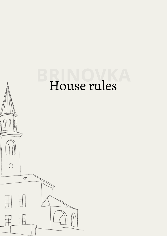# **BRINOVKA** House rules

 $\bigcirc$ 

 $\varpi$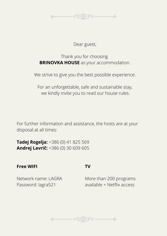

#### Dear guest,

Thank you for choosing **BRINOVKA HOUSE** as your accommodation.

We strive to give you the best possible experience.

For an unforgettable, safe and sustainable stay, we kindly invite you to read our house rules.

For further information and assistance, the hosts are at your disposal at all times:

**Tadej Rogelja:** +386 (0) 41 825 569 **Andrej Lavrič:** +386 (0) 30 609 605

#### **Free WIFI**

#### **TV**

Network name: LAGRA Password: lagra521

More than 200 programs available + Netflix access

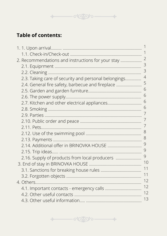

# **Table of contents:**

| 2. Recommendations and instructions for your stay    | $\overline{2}$ |
|------------------------------------------------------|----------------|
|                                                      | 3              |
|                                                      | 3              |
| 2.3. Taking care of security and personal belongings | 4              |
| 2.4. General fire safety, barbecue and fireplace     | 5              |
|                                                      | 6              |
|                                                      | 6              |
|                                                      | 6              |
|                                                      | 6              |
|                                                      | 7              |
|                                                      | $\overline{7}$ |
|                                                      | 7              |
|                                                      | 8              |
|                                                      | 8              |
| 2.14. Additional offer in BRINOVKA HOUSE             | 9              |
|                                                      | 9              |
| 2.16. Supply of products from local producers        | 9              |
|                                                      | 10             |
|                                                      | 11             |
|                                                      | 11             |
|                                                      | 12             |
|                                                      | 12             |
|                                                      | 12             |
|                                                      | 13             |

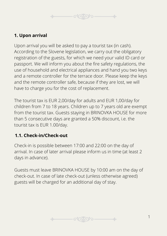

## **1. Upon arrival**

Upon arrival you will be asked to pay a tourist tax (in cash). According to the Slovene legislation, we carry out the obligatory registration of the guests, for which we need your valid ID card or passport. We will inform you about the fire safety regulations, the use of household and electrical appliances and hand you two keys and a remote controller for the terrace door. Please keep the keys and the remote controller safe, because if they are lost, we will have to charge you for the cost of replacement.

The tourist tax is EUR 2,00/day for adults and EUR 1,00/day for children from 7 to 18 years. Children up to 7 years old are exempt from the tourist tax. Guests staying in BRINOVKA HOUSE for more than 5 consecutive days are granted a 50% discount, i.e. the tourist tax is EUR 1.00/day.

## **1.1. Check-in/Check-out**

Check-in is possible between 17:00 and 22:00 on the day of arrival. In case of later arrival please inform us in time (at least 2 days in advance).

Guests must leave BRINOVKA HOUSE by 10:00 am on the day of check-out. In case of late check-out (unless otherwise agreed) guests will be charged for an additional day of stay.

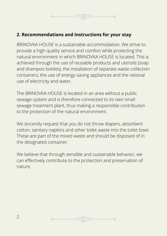## **2. Recommendations and instructions for your stay**

BRINOVKA HOUSE is a sustainable accommodation. We strive to provide a high quality service and comfort while protecting the natural environment in which BRINOVKA HOUSE is located. This is achieved through the use of reusable products and utensils (soap and shampoo bottles), the installation of separate waste collection containers, the use of energy-saving appliances and the rational use of electricity and water.

The BRINOVKA HOUSE is located in an area without a public sewage system and is therefore connected to its own small sewage treatment plant, thus making a responsible contribution to the protection of the natural environment.

We sincerely request that you do not throw diapers, absorbent cotton, sanitary napkins and other toilet waste into the toilet bowl. These are part of the mixed waste and should be disposed of in the designated container.

We believe that through sensible and sustainable behavior, we can effectively contribute to the protection and preservation of nature.

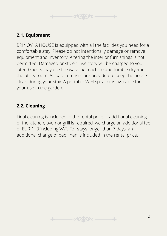

## **2.1. Equipment**

BRINOVKA HOUSE Is equipped with all the facilities you need for a comfortable stay. Please do not intentionally damage or remove equipment and inventory. Altering the interior furnishings is not permitted. Damaged or stolen inventory will be charged to you later. Guests may use the washing machine and tumble dryer in the utility room. All basic utensils are provided to keep the house clean during your stay. A portable WIFI speaker is available for your use in the garden.

## **2.2. Cleaning**

Final cleaning is included in the rental price. If additional cleaning of the kitchen, oven or grill is required, we charge an additional fee of EUR 110 including VAT. For stays longer than 7 days, an additional change of bed linen is included in the rental price.

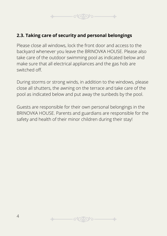

#### **2.3. Taking care of security and personal belongings**

Please close all windows, lock the front door and access to the backyard whenever you leave the BRINOVKA HOUSE. Please also take care of the outdoor swimming pool as indicated below and make sure that all electrical appliances and the gas hob are switched off.

During storms or strong winds, in addition to the windows, please close all shutters, the awning on the terrace and take care of the pool as indicated below and put away the sunbeds by the pool.

Guests are responsible for their own personal belongings in the BRINOVKA HOUSE. Parents and guardians are responsible for the safety and health of their minor children during their stay!

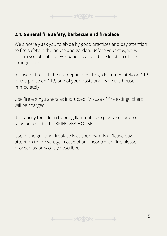

#### **2.4. General fire safety, barbecue and fireplace**

We sincerely ask you to abide by good practices and pay attention to fire safety in the house and garden. Before your stay, we will inform you about the evacuation plan and the location of fire extinguishers.

In case of fire, call the fire department brigade immediately on 112 or the police on 113, one of your hosts and leave the house immediately.

Use fire extinguishers as instructed. Misuse of fire extinguishers will be charged.

It is strictly forbidden to bring flammable, explosive or odorous substances into the BRINOVKA HOUSE.

Use of the grill and fireplace is at your own risk. Please pay attention to fire safety. In case of an uncontrolled fire, please proceed as previously described.

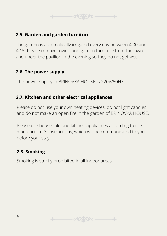

## **2.5. Garden and garden furniture**

The garden is automatically irrigated every day between 4:00 and 4:15. Please remove towels and garden furniture from the lawn and under the pavilion in the evening so they do not get wet.

## **2.6. The power supply**

The power supply in BRINOVKA HOUSE is 220V/50Hz.

## **2.7. Kitchen and other electrical appliances**

Please do not use your own heating devices, do not light candles and do not make an open fire in the garden of BRINOVKA HOUSE.

Please use household and kitchen appliances according to the manufacturer's instructions, which will be communicated to you before your stay.

## **2.8. Smoking**

Smoking is strictly prohibited in all indoor areas.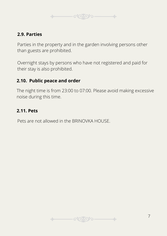

#### **2.9. Parties**

Parties in the property and in the garden involving persons other than guests are prohibited.

Overnight stays by persons who have not registered and paid for their stay is also prohibited.

#### **2.10. Public peace and order**

The night time is from 23:00 to 07:00. Please avoid making excessive noise during this time.

## **2.11. Pets**

Pets are not allowed in the BRINOVKA HOUSE.

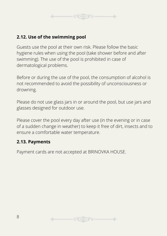

## **2.12. Use of the swimming pool**

Guests use the pool at their own risk. Please follow the basic hygiene rules when using the pool (take shower before and after swimming). The use of the pool is prohibited in case of dermatological problems.

Before or during the use of the pool, the consumption of alcohol is not recommended to avoid the possibility of unconsciousness or drowning.

Please do not use glass jars in or around the pool, but use jars and glasses designed for outdoor use.

Please cover the pool every day after use (in the evening or in case of a sudden change in weather) to keep it free of dirt, insects and to ensure a comfortable water temperature.

#### **2.13. Payments**

Payment cards are not accepted at BRINOVKA HOUSE.

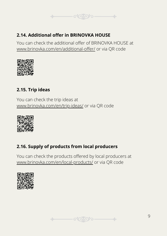

## **2.14. Additional offer in BRINOVKA HOUSE**

You can check the additional offer of BRINOVKA HOUSE at [www.brinovka.com/en/additional-offer/](https://brinovka.com/en/additional-offer/) or via QR code



## **2.15. Trip ideas**

You can check the trip ideas at [www.brinovka.com/en/trip-ideas/](https://brinovka.com/en/trip-ideas/) or via QR code



## **2.16. Supply of products from local producers**

You can check the products offered by local producers at [www.brinovka.com/en/local-products/](https://brinovka.com/en/local-products/) or via QR code

 $\sim$ 



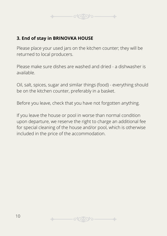

## **3. End of stay in BRINOVKA HOUSE**

Please place your used jars on the kitchen counter; they will be returned to local producers.

Please make sure dishes are washed and dried - a dishwasher is available.

Oil, salt, spices, sugar and similar things (food) - everything should be on the kitchen counter, preferably in a basket.

Before you leave, check that you have not forgotten anything.

If you leave the house or pool in worse than normal condition upon departure, we reserve the right to charge an additional fee for special cleaning of the house and/or pool, which is otherwise included in the price of the accommodation.

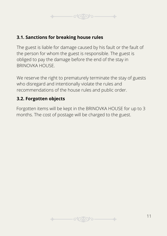

#### **3.1. Sanctions for breaking house rules**

The guest is liable for damage caused by his fault or the fault of the person for whom the guest is responsible. The guest is obliged to pay the damage before the end of the stay in BRINOVKA HOUSE.

We reserve the right to prematurely terminate the stay of guests who disregard and intentionally violate the rules and recommendations of the house rules and public order.

## **3.2. Forgotten objects**

Forgotten items will be kept in the BRINOVKA HOUSE for up to 3 months. The cost of postage will be charged to the guest.

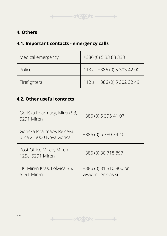## **4. Others**

## **4.1. Important contacts - emergency calls**

| Medical emergency | +386 (0) 5 33 83 333         |
|-------------------|------------------------------|
| Police            | 113 ali +386 (0) 5 303 42 00 |
| Firefighters      | 112 ali +386 (0) 5 302 32 49 |

 $\begin{picture}(180,10) \put(0,0){\vector(1,0){100}} \put(15,0){\vector(1,0){100}} \put(15,0){\vector(1,0){100}} \put(15,0){\vector(1,0){100}} \put(15,0){\vector(1,0){100}} \put(15,0){\vector(1,0){100}} \put(15,0){\vector(1,0){100}} \put(15,0){\vector(1,0){100}} \put(15,0){\vector(1,0){100}} \put(15,0){\vector(1,0){100}} \put(15,0){\vector(1,0){100}}$ 

## **4.2. Other useful contacts**

| Goriška Pharmacy, Miren 93,<br>5291 Miren              | +386 (0) 5 395 41 07                       |
|--------------------------------------------------------|--------------------------------------------|
| Goriška Pharmacy, Rejčeva<br>ulica 2, 5000 Nova Gorica | +386 (0) 5 330 34 40                       |
| Post Office Miren, Miren<br>125c, 5291 Miren           | +386 (0) 30 718 897                        |
| TIC Miren Kras, Lokvica 35,<br>5291 Miren              | +386 (0) 31 310 800 or<br>www.mirenkras.si |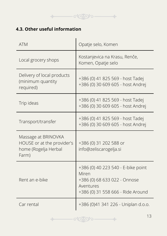

# **4.3. Other useful information**

| <b>ATM</b>                                                                         | Opatje selo, Komen                                                                                                            |
|------------------------------------------------------------------------------------|-------------------------------------------------------------------------------------------------------------------------------|
| Local grocery shops                                                                | Kostanjevica na Krasu, Renče,<br>Komen, Opatje selo                                                                           |
| Delivery of local products<br>(minimum quantity<br>required)                       | +386 (0) 41 825 569 - host Tadej<br>+386 (0) 30 609 605 - host Andrej                                                         |
| Trip ideas                                                                         | +386 (0) 41 825 569 - host Tadej<br>+386 (0) 30 609 605 - host Andrej                                                         |
| Transport/transfer                                                                 | +386 (0) 41 825 569 - host Tadej<br>+386 (0) 30 609 605 - host Andrej                                                         |
| Massage at BRINOVKA<br>HOUSE or at the provider's<br>home (Rogelja Herbal<br>Farm) | +386 (0) 31 202 588 or<br>info@zeliscarogelja.si                                                                              |
| Rent an e-bike                                                                     | +386 (0) 40 223 540 - E-bike point<br>Miren<br>+386 (0) 68 633 022 - Onnose<br>Aventures<br>+386 (0) 31 558 666 - Ride Around |
| Car rental                                                                         | +386 (0)41 341 226 - Uniplan d.o.o.                                                                                           |